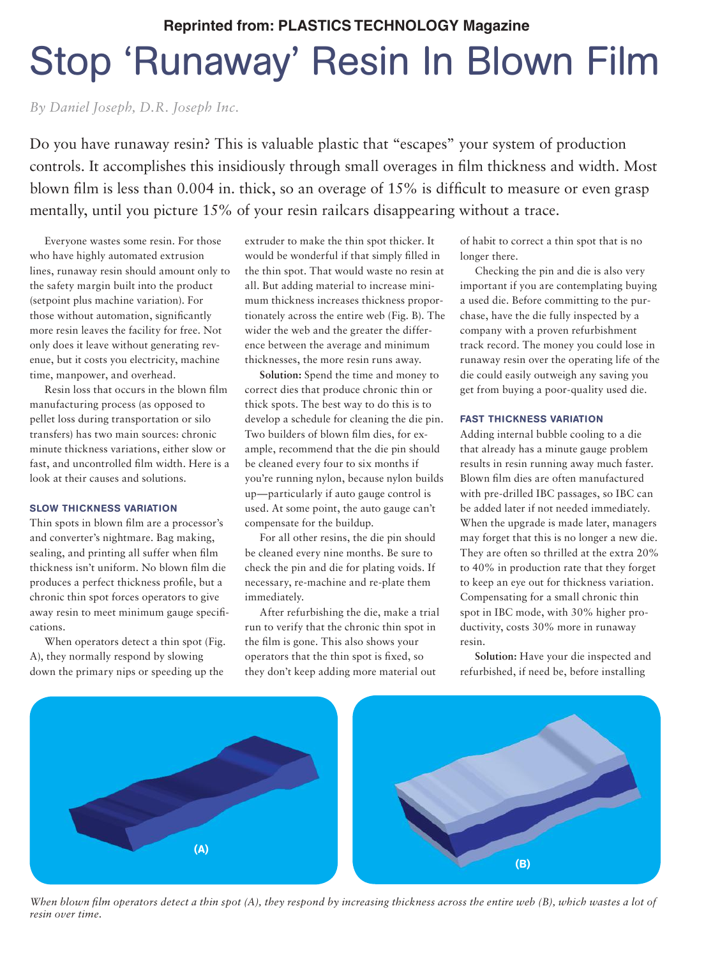## Stop 'Runaway' Resin In Blown Film **Reprinted from: PLASTICS TECHNOLOGY Magazine**

*By Daniel Joseph, D.R. Joseph Inc.*

Do you have runaway resin? This is valuable plastic that "escapes" your system of production controls. It accomplishes this insidiously through small overages in film thickness and width. Most blown film is less than 0.004 in. thick, so an overage of 15% is difficult to measure or even grasp mentally, until you picture 15% of your resin railcars disappearing without a trace.

Everyone wastes some resin. For those who have highly automated extrusion lines, runaway resin should amount only to the safety margin built into the product (setpoint plus machine variation). For those without automation, significantly more resin leaves the facility for free. Not only does it leave without generating revenue, but it costs you electricity, machine time, manpower, and overhead.

Resin loss that occurs in the blown film manufacturing process (as opposed to pellet loss during transportation or silo transfers) has two main sources: chronic minute thickness variations, either slow or fast, and uncontrolled film width. Here is a look at their causes and solutions.

## SLOW THICKNESS VARIATION

Thin spots in blown film are a processor's and converter's nightmare. Bag making, sealing, and printing all suffer when film thickness isn't uniform. No blown film die produces a perfect thickness profile, but a chronic thin spot forces operators to give away resin to meet minimum gauge specifications.

When operators detect a thin spot (Fig. A), they normally respond by slowing down the primary nips or speeding up the

extruder to make the thin spot thicker. It would be wonderful if that simply filled in the thin spot. That would waste no resin at all. But adding material to increase minimum thickness increases thickness proportionately across the entire web (Fig. B). The wider the web and the greater the difference between the average and minimum thicknesses, the more resin runs away.

**Solution:** Spend the time and money to correct dies that produce chronic thin or thick spots. The best way to do this is to develop a schedule for cleaning the die pin. Two builders of blown film dies, for example, recommend that the die pin should be cleaned every four to six months if you're running nylon, because nylon builds up—particularly if auto gauge control is used. At some point, the auto gauge can't compensate for the buildup.

For all other resins, the die pin should be cleaned every nine months. Be sure to check the pin and die for plating voids. If necessary, re-machine and re-plate them immediately.

After refurbishing the die, make a trial run to verify that the chronic thin spot in the film is gone. This also shows your operators that the thin spot is fixed, so they don't keep adding more material out

of habit to correct a thin spot that is no longer there.

Checking the pin and die is also very important if you are contemplating buying a used die. Before committing to the purchase, have the die fully inspected by a company with a proven refurbishment track record. The money you could lose in runaway resin over the operating life of the die could easily outweigh any saving you get from buying a poor-quality used die.

## FAST THICKNESS VARIATION

Adding internal bubble cooling to a die that already has a minute gauge problem results in resin running away much faster. Blown film dies are often manufactured with pre-drilled IBC passages, so IBC can be added later if not needed immediately. When the upgrade is made later, managers may forget that this is no longer a new die. They are often so thrilled at the extra 20% to 40% in production rate that they forget to keep an eye out for thickness variation. Compensating for a small chronic thin spot in IBC mode, with 30% higher productivity, costs 30% more in runaway resin.

**Solution:** Have your die inspected and refurbished, if need be, before installing



*When blown film operators detect a thin spot (A), they respond by increasing thickness across the entire web (B), which wastes a lot of resin over time.*